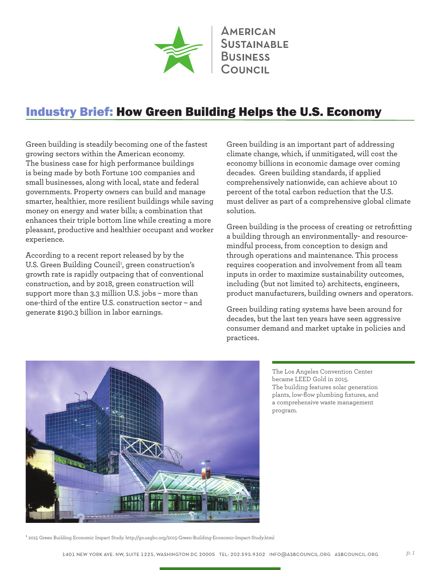

**AMERICAN** SUSTAINABLE<br>BUSINESS

# Industry Brief: How Green Building Helps the U.S. Economy

Green building is steadily becoming one of the fastest growing sectors within the American economy. The business case for high performance buildings is being made by both Fortune 100 companies and small businesses, along with local, state and federal governments. Property owners can build and manage smarter, healthier, more resilient buildings while saving money on energy and water bills; a combination that enhances their triple bottom line while creating a more pleasant, productive and healthier occupant and worker experience.

According to a recent report released by by the U.S. Green Building Council<sup>1</sup>, green construction's growth rate is rapidly outpacing that of conventional construction, and by 2018, green construction will support more than 3.3 million U.S. jobs – more than one-third of the entire U.S. construction sector – and generate \$190.3 billion in labor earnings.

Green building is an important part of addressing climate change, which, if unmitigated, will cost the economy billions in economic damage over coming decades. Green building standards, if applied comprehensively nationwide, can achieve about 10 percent of the total carbon reduction that the U.S. must deliver as part of a comprehensive global climate solution.

Green building is the process of creating or retrofitting a building through an environmentally- and resourcemindful process, from conception to design and through operations and maintenance. This process requires cooperation and involvement from all team inputs in order to maximize sustainability outcomes, including (but not limited to) architects, engineers, product manufacturers, building owners and operators.

Green building rating systems have been around for decades, but the last ten years have seen aggressive consumer demand and market uptake in policies and practices.



The Los Angeles Convention Center became LEED Gold in 2015. The building features solar generation plants, low-flow plumbing fixtures, and a comprehensive waste management program.

*p. 1*

<sup>1</sup> 2015 Green Building Economic Impact Study. http://go.usgbc.org/2015-Green-Building-Economic-Impact-Study.html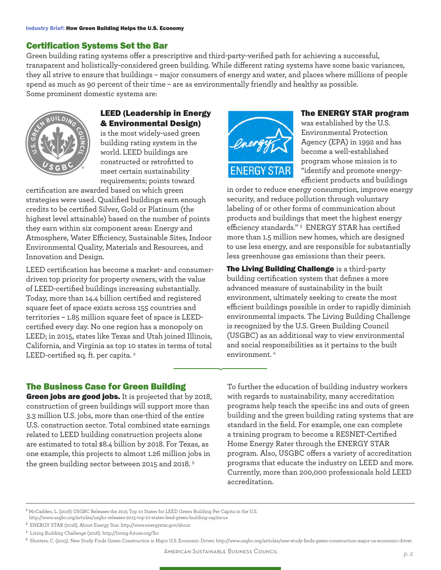## Certification Systems Set the Bar

Green building rating systems offer a prescriptive and third-party-verified path for achieving a successful, transparent and holistically-considered green building. While different rating systems have some basic variances, they all strive to ensure that buildings – major consumers of energy and water, and places where millions of people spend as much as 90 percent of their time – are as environmentally friendly and healthy as possible. Some prominent domestic systems are:



LEED (Leadership in Energy & Environmental Design)

is the most widely-used green building rating system in the world. LEED buildings are constructed or retrofitted to meet certain sustainability requirements; points toward

certification are awarded based on which green strategies were used. Qualified buildings earn enough credits to be certified Silver, Gold or Platinum (the highest level attainable) based on the number of points they earn within six component areas: Energy and Atmosphere, Water Efficiency, Sustainable Sites, Indoor Environmental Quality, Materials and Resources, and Innovation and Design.

LEED certification has become a market- and consumerdriven top priority for property owners, with the value of LEED-certified buildings increasing substantially. Today, more than 14.4 billion certified and registered square feet of space exists across 155 countries and territories – 1.85 million square feet of space is LEEDcertified every day. No one region has a monopoly on LEED; in 2015, states like Texas and Utah joined Illinois, California, and Virginia as top 10 states in terms of total LEED-certified sq. ft. per capita.<sup>2</sup>



# The ENERGY STAR program

was established by the U.S. Environmental Protection Agency (EPA) in 1992 and has become a well-established program whose mission is to "identify and promote energyefficient products and buildings

in order to reduce energy consumption, improve energy security, and reduce pollution through voluntary labeling of or other forms of communication about products and buildings that meet the highest energy efficiency standards." 3 ENERGY STAR has certified more than 1.5 million new homes, which are designed to use less energy, and are responsible for substantially less greenhouse gas emissions than their peers.

The Living Building Challenge is a third-party building certification system that defines a more advanced measure of sustainability in the built environment, ultimately seeking to create the most efficient buildings possible in order to rapidly diminish environmental impacts. The Living Building Challenge is recognized by the U.S. Green Building Council (USGBC) as an additional way to view environmental and social responsibilities as it pertains to the built environment. 4

### The Business Case for Green Building

Green jobs are good jobs. It is projected that by 2018, construction of green buildings will support more than 3.3 million U.S. jobs, more than one-third of the entire U.S. construction sector. Total combined state earnings related to LEED building construction projects alone are estimated to total \$8.4 billion by 2018. For Texas, as one example, this projects to almost 1.26 million jobs in the green building sector between 2015 and 2018. 5

To further the education of building industry workers with regards to sustainability, many accreditation programs help teach the specific ins and outs of green building and the green building rating systems that are standard in the field. For example, one can complete a training program to become a RESNET-Certified Home Energy Rater through the ENERGY STAR program. Also, USGBC offers a variety of accreditation programs that educate the industry on LEED and more. Currently, more than 200,000 professionals hold LEED accreditation.

<sup>&</sup>lt;sup>2</sup> McCadden, L. (2016) USGBC Releases the 2015 Top 10 States for LEED Green Building Per Capita in the U.S.

http://www.usgbc.org/articles/usgbc-releases-2015-top-10-states-leed-green-building-capita-us

<sup>3</sup> ENERGY STAR (2016). About Energy Star. http://www.energystar.gov/about

<sup>4</sup> Living Building Challenge (2016). http://living-future.org/lbc

<sup>5</sup> Shutters, C. (2015). New Study Finds Green Construction is Major U.S. Economic Driver. http://www.usgbc.org/articles/new-study-finds-green-construction-major-us-economic-driver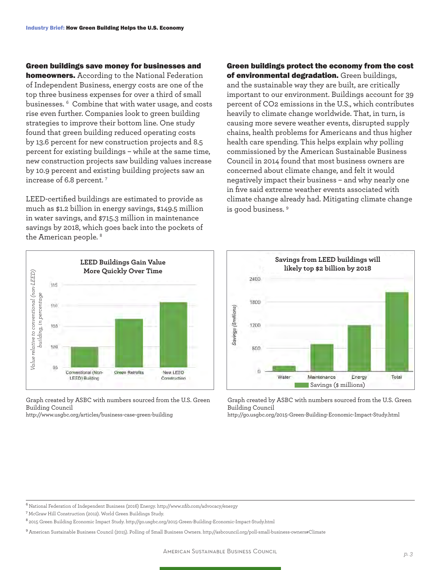#### Green buildings save money for businesses and

**homeowners.** According to the National Federation of Independent Business, energy costs are one of the top three business expenses for over a third of small businesses. 6 Combine that with water usage, and costs rise even further. Companies look to green building strategies to improve their bottom line. One study found that green building reduced operating costs by 13.6 percent for new construction projects and 8.5 percent for existing buildings – while at the same time, new construction projects saw building values increase by 10.9 percent and existing building projects saw an increase of 6.8 percent.  $^7$ 

LEED-certified buildings are estimated to provide as much as \$1.2 billion in energy savings, \$149.5 million in water savings, and \$715.3 million in maintenance savings by 2018, which goes back into the pockets of the American people. 8

Green buildings protect the economy from the cost of environmental degradation. Green buildings, and the sustainable way they are built, are critically important to our environment. Buildings account for 39 percent of CO2 emissions in the U.S., which contributes heavily to climate change worldwide. That, in turn, is causing more severe weather events, disrupted supply chains, health problems for Americans and thus higher health care spending. This helps explain why polling commissioned by the American Sustainable Business Council in 2014 found that most business owners are concerned about climate change, and felt it would negatively impact their business – and why nearly one in five said extreme weather events associated with climate change already had. Mitigating climate change is good business. 9



Graph created by ASBC with numbers sourced from the U.S. Green Building Council

http://www.usgbc.org/articles/business-case-green-building



Graph created by ASBC with numbers sourced from the U.S. Green Building Council

http://go.usgbc.org/2015-Green-Building-Economic-Impact-Study.html

<sup>7</sup>McGraw Hill Construction (2012). World Green Buildings Study.

<sup>9</sup>American Sustainable Business Council (2015). Polling of Small Business Owners. http://asbcouncil.org/poll-small-business-owners#Climate

<sup>6</sup>National Federation of Independent Business (2016) Energy. http://www.nfib.com/advocacy/energy

<sup>8</sup>2015 Green Building Economic Impact Study. http://go.usgbc.org/2015-Green-Building-Economic-Impact-Study.html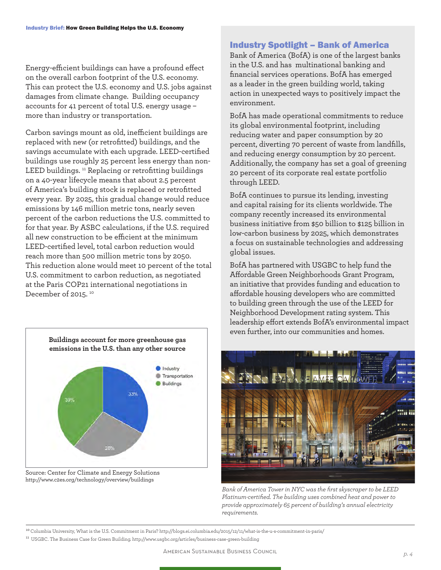Energy-efficient buildings can have a profound effect on the overall carbon footprint of the U.S. economy. This can protect the U.S. economy and U.S. jobs against damages from climate change. Building occupancy accounts for 41 percent of total U.S. energy usage – more than industry or transportation.

Carbon savings mount as old, inefficient buildings are replaced with new (or retrofitted) buildings, and the savings accumulate with each upgrade. LEED-certified buildings use roughly 25 percent less energy than non-LEED buildings.  $11$  Replacing or retrofitting buildings on a 40-year lifecycle means that about 2.5 percent of America's building stock is replaced or retrofitted every year. By 2025, this gradual change would reduce emissions by 146 million metric tons, nearly seven percent of the carbon reductions the U.S. committed to for that year. By ASBC calculations, if the U.S. required all new construction to be efficient at the minimum LEED-certified level, total carbon reduction would reach more than 500 million metric tons by 2050. This reduction alone would meet 10 percent of the total U.S. commitment to carbon reduction, as negotiated at the Paris COP21 international negotiations in December of 2015.<sup>10</sup>



Source: Center for Climate and Energy Solutions http://www.c2es.org/technology/overview/buildings

# Industry Spotlight – Bank of America

Bank of America (BofA) is one of the largest banks in the U.S. and has multinational banking and financial services operations. BofA has emerged as a leader in the green building world, taking action in unexpected ways to positively impact the environment.

BofA has made operational commitments to reduce its global environmental footprint, including reducing water and paper consumption by 20 percent, diverting 70 percent of waste from landfills, and reducing energy consumption by 20 percent. Additionally, the company has set a goal of greening 20 percent of its corporate real estate portfolio through LEED.

BofA continues to pursue its lending, investing and capital raising for its clients worldwide. The company recently increased its environmental business initiative from \$50 billion to \$125 billion in low-carbon business by 2025, which demonstrates a focus on sustainable technologies and addressing global issues.

BofA has partnered with USGBC to help fund the Affordable Green Neighborhoods Grant Program, an initiative that provides funding and education to affordable housing developers who are committed to building green through the use of the LEED for Neighborhood Development rating system. This leadership effort extends BofA's environmental impact even further, into our communities and homes.



*Bank of America Tower in NYC was the first skyscraper to be LEED Platinum-certified. The building uses combined heat and power to provide approximately 65 percent of building's annual electricity requirements.*

<sup>10</sup>Columbia University, What is the U.S. Commitment in Paris? http://blogs.ei.columbia.edu/2015/12/11/what-is-the-u-s-commitment-in-paris/

<sup>11</sup>USGBC. The Business Case for Green Building. http://www.usgbc.org/articles/business-case-green-building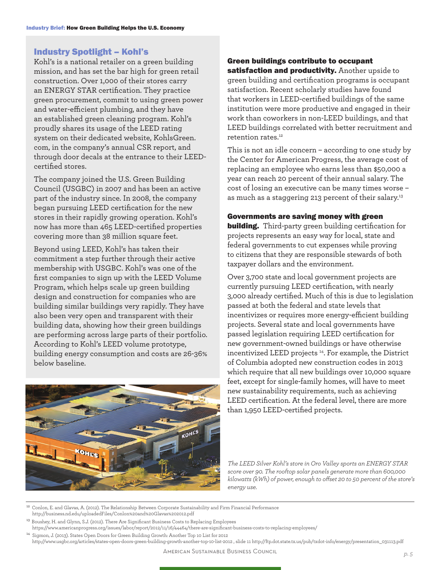# Industry Spotlight – Kohl's

Kohl's is a national retailer on a green building mission, and has set the bar high for green retail construction. Over 1,000 of their stores carry an ENERGY STAR certification. They practice green procurement, commit to using green power and water-efficient plumbing, and they have an established green cleaning program. Kohl's proudly shares its usage of the LEED rating system on their dedicated website, KohlsGreen. com, in the company's annual CSR report, and through door decals at the entrance to their LEEDcertified stores.

The company joined the U.S. Green Building Council (USGBC) in 2007 and has been an active part of the industry since. In 2008, the company began pursuing LEED certification for the new stores in their rapidly growing operation. Kohl's now has more than 465 LEED-certified properties covering more than 38 million square feet.

Beyond using LEED, Kohl's has taken their commitment a step further through their active membership with USGBC. Kohl's was one of the first companies to sign up with the LEED Volume Program, which helps scale up green building design and construction for companies who are building similar buildings very rapidly. They have also been very open and transparent with their building data, showing how their green buildings are performing across large parts of their portfolio. According to Kohl's LEED volume prototype, building energy consumption and costs are 26-36%



Green buildings contribute to occupant satisfaction and productivity. Another upside to green building and certification programs is occupant satisfaction. Recent scholarly studies have found that workers in LEED-certified buildings of the same institution were more productive and engaged in their work than coworkers in non-LEED buildings, and that LEED buildings correlated with better recruitment and retention rates.<sup>12</sup>

This is not an idle concern – according to one study by the Center for American Progress, the average cost of replacing an employee who earns less than \$50,000 a year can reach 20 percent of their annual salary. The cost of losing an executive can be many times worse – as much as a staggering 213 percent of their salary.<sup>13</sup>

#### Governments are saving money with green

**building.** Third-party green building certification for projects represents an easy way for local, state and federal governments to cut expenses while proving to citizens that they are responsible stewards of both taxpayer dollars and the environment.

Over 3,700 state and local government projects are currently pursuing LEED certification, with nearly 3,000 already certified. Much of this is due to legislation passed at both the federal and state levels that incentivizes or requires more energy-efficient building projects. Several state and local governments have passed legislation requiring LEED certification for new government-owned buildings or have otherwise incentivized LEED projects 14. For example, the District of Columbia adopted new construction codes in 2013 which require that all new buildings over 10,000 square feet, except for single-family homes, will have to meet new sustainability requirements, such as achieving LEED certification. At the federal level, there are more than 1,950 LEED-certified projects.

*The LEED Silver Kohl's store in Oro Valley sports an ENERGY STAR score over 90. The rooftop solar panels generate more than 600,000 kilowatts (kWh) of power, enough to offset 20 to 50 percent of the store's energy use.*

 $12$  Conlon, E. and Glavas, A. (2012). The Relationship Between Corporate Sustainability and Firm Financial Performance http://business.nd.edu/uploadedFiles/Conlon%20and%20Glavas%202012.pdf

<sup>13</sup> Boushey, H. and Glynn, S.J. (2012). There Are Significant Business Costs to Replacing Employees

- <sup>14</sup> Sigmon, J. (2013). States Open Doors for Green Building Growth: Another Top 10 List for 2012
	- http://www.usgbc.org/articles/states-open-doors-green-building-growth-another-top-10-list-2012 , slide 11 http://ftp.dot.state.tx.us/pub/txdot-info/energy/presentation\_031113.pdf

https://www.americanprogress.org/issues/labor/report/2012/11/16/44464/there-are-significant-business-costs-to-replacing-employees/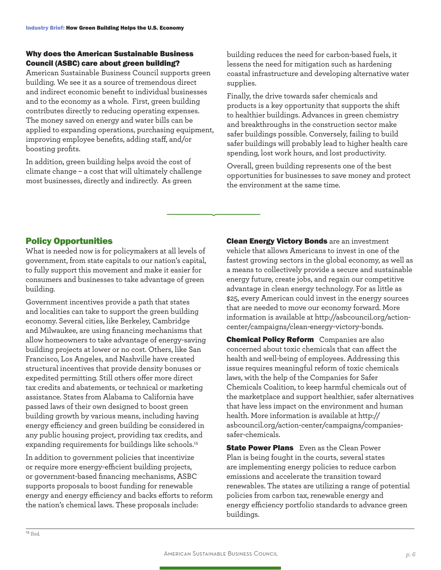# Why does the American Sustainable Business Council (ASBC) care about green building?

American Sustainable Business Council supports green building. We see it as a source of tremendous direct and indirect economic benefit to individual businesses and to the economy as a whole. First, green building contributes directly to reducing operating expenses. The money saved on energy and water bills can be applied to expanding operations, purchasing equipment, improving employee benefits, adding staff, and/or boosting profits.

In addition, green building helps avoid the cost of climate change – a cost that will ultimately challenge most businesses, directly and indirectly. As green

building reduces the need for carbon-based fuels, it lessens the need for mitigation such as hardening coastal infrastructure and developing alternative water supplies.

Finally, the drive towards safer chemicals and products is a key opportunity that supports the shift to healthier buildings. Advances in green chemistry and breakthroughs in the construction sector make safer buildings possible. Conversely, failing to build safer buildings will probably lead to higher health care spending, lost work hours, and lost productivity.

Overall, green building represents one of the best opportunities for businesses to save money and protect the environment at the same time.

# Policy Opportunities

What is needed now is for policymakers at all levels of government, from state capitals to our nation's capital, to fully support this movement and make it easier for consumers and businesses to take advantage of green building.

Government incentives provide a path that states and localities can take to support the green building economy. Several cities, like Berkeley, Cambridge and Milwaukee, are using financing mechanisms that allow homeowners to take advantage of energy-saving building projects at lower or no cost. Others, like San Francisco, Los Angeles, and Nashville have created structural incentives that provide density bonuses or expedited permitting. Still others offer more direct tax credits and abatements, or technical or marketing assistance. States from Alabama to California have passed laws of their own designed to boost green building growth by various means, including having energy efficiency and green building be considered in any public housing project, providing tax credits, and expanding requirements for buildings like schools.<sup>15</sup>

In addition to government policies that incentivize or require more energy-efficient building projects, or government-based financing mechanisms, ASBC supports proposals to boost funding for renewable energy and energy efficiency and backs efforts to reform the nation's chemical laws. These proposals include:

**Clean Energy Victory Bonds** are an investment vehicle that allows Americans to invest in one of the fastest growing sectors in the global economy, as well as a means to collectively provide a secure and sustainable energy future, create jobs, and regain our competitive advantage in clean energy technology. For as little as \$25, every American could invest in the energy sources that are needed to move our economy forward. More information is available at http://asbcouncil.org/actioncenter/campaigns/clean-energy-victory-bonds.

**Chemical Policy Reform** Companies are also concerned about toxic chemicals that can affect the health and well-being of employees. Addressing this issue requires meaningful reform of toxic chemicals laws, with the help of the Companies for Safer Chemicals Coalition, to keep harmful chemicals out of the marketplace and support healthier, safer alternatives that have less impact on the environment and human health. More information is available at http:// asbcouncil.org/action-center/campaigns/companiessafer-chemicals.

**State Power Plans** Even as the Clean Power Plan is being fought in the courts, several states are implementing energy policies to reduce carbon emissions and accelerate the transition toward renewables. The states are utilizing a range of potential policies from carbon tax, renewable energy and energy efficiency portfolio standards to advance green buildings.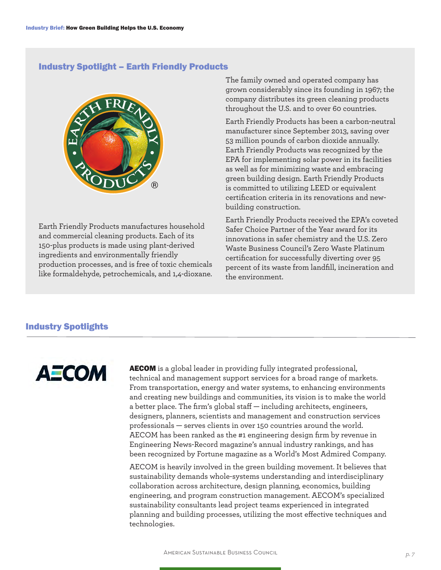#### Industry Spotlight – Earth Friendly Products



Earth Friendly Products manufactures household and commercial cleaning products. Each of its 150-plus products is made using plant-derived ingredients and environmentally friendly production processes, and is free of toxic chemicals like formaldehyde, petrochemicals, and 1,4-dioxane.

The family owned and operated company has grown considerably since its founding in 1967; the company distributes its green cleaning products throughout the U.S. and to over 60 countries.

Earth Friendly Products has been a carbon-neutral manufacturer since September 2013, saving over 53 million pounds of carbon dioxide annually. Earth Friendly Products was recognized by the EPA for implementing solar power in its facilities as well as for minimizing waste and embracing green building design. Earth Friendly Products is committed to utilizing LEED or equivalent certification criteria in its renovations and newbuilding construction.

Earth Friendly Products received the EPA's coveted Safer Choice Partner of the Year award for its innovations in safer chemistry and the U.S. Zero Waste Business Council's Zero Waste Platinum certification for successfully diverting over 95 percent of its waste from landfill, incineration and the environment.

# Industry Spotlights



**AECOM** is a global leader in providing fully integrated professional, technical and management support services for a broad range of markets. From transportation, energy and water systems, to enhancing environments and creating new buildings and communities, its vision is to make the world a better place. The firm's global staff — including architects, engineers, designers, planners, scientists and management and construction services professionals — serves clients in over 150 countries around the world. AECOM has been ranked as the #1 engineering design firm by revenue in Engineering News-Record magazine's annual industry rankings, and has been recognized by Fortune magazine as a World's Most Admired Company.

AECOM is heavily involved in the green building movement. It believes that sustainability demands whole-systems understanding and interdisciplinary collaboration across architecture, design planning, economics, building engineering, and program construction management. AECOM's specialized sustainability consultants lead project teams experienced in integrated planning and building processes, utilizing the most effective techniques and technologies.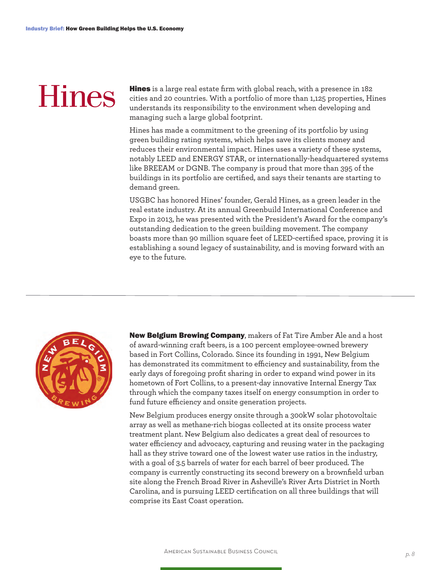# **Hines**

**Hines** is a large real estate firm with global reach, with a presence in 182 cities and 20 countries. With a portfolio of more than 1,125 properties, Hines understands its responsibility to the environment when developing and managing such a large global footprint.

Hines has made a commitment to the greening of its portfolio by using green building rating systems, which helps save its clients money and reduces their environmental impact. Hines uses a variety of these systems, notably LEED and ENERGY STAR, or internationally-headquartered systems like BREEAM or DGNB. The company is proud that more than 395 of the buildings in its portfolio are certified, and says their tenants are starting to demand green.

USGBC has honored Hines' founder, Gerald Hines, as a green leader in the real estate industry. At its annual Greenbuild International Conference and Expo in 2013, he was presented with the President's Award for the company's outstanding dedication to the green building movement. The company boasts more than 90 million square feet of LEED-certified space, proving it is establishing a sound legacy of sustainability, and is moving forward with an eye to the future.



New Belgium Brewing Company, makers of Fat Tire Amber Ale and a host of award-winning craft beers, is a 100 percent employee-owned brewery based in Fort Collins, Colorado. Since its founding in 1991, New Belgium has demonstrated its commitment to efficiency and sustainability, from the early days of foregoing profit sharing in order to expand wind power in its hometown of Fort Collins, to a present-day innovative Internal Energy Tax through which the company taxes itself on energy consumption in order to fund future efficiency and onsite generation projects.

New Belgium produces energy onsite through a 300kW solar photovoltaic array as well as methane-rich biogas collected at its onsite process water treatment plant. New Belgium also dedicates a great deal of resources to water efficiency and advocacy, capturing and reusing water in the packaging hall as they strive toward one of the lowest water use ratios in the industry, with a goal of 3.5 barrels of water for each barrel of beer produced. The company is currently constructing its second brewery on a brownfield urban site along the French Broad River in Asheville's River Arts District in North Carolina, and is pursuing LEED certification on all three buildings that will comprise its East Coast operation.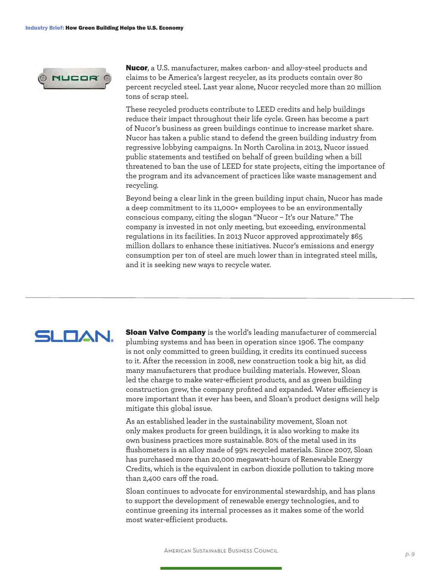

Nucor, a U.S. manufacturer, makes carbon- and alloy-steel products and claims to be America's largest recycler, as its products contain over 80 percent recycled steel. Last year alone, Nucor recycled more than 20 million tons of scrap steel.

These recycled products contribute to LEED credits and help buildings reduce their impact throughout their life cycle. Green has become a part of Nucor's business as green buildings continue to increase market share. Nucor has taken a public stand to defend the green building industry from regressive lobbying campaigns. In North Carolina in 2013, Nucor issued public statements and testified on behalf of green building when a bill threatened to ban the use of LEED for state projects, citing the importance of the program and its advancement of practices like waste management and recycling.

Beyond being a clear link in the green building input chain, Nucor has made a deep commitment to its 11,000+ employees to be an environmentally conscious company, citing the slogan "Nucor – It's our Nature." The company is invested in not only meeting, but exceeding, environmental regulations in its facilities. In 2013 Nucor approved approximately \$65 million dollars to enhance these initiatives. Nucor's emissions and energy consumption per ton of steel are much lower than in integrated steel mills, and it is seeking new ways to recycle water.



**Sloan Valve Company** is the world's leading manufacturer of commercial plumbing systems and has been in operation since 1906. The company is not only committed to green building, it credits its continued success to it. After the recession in 2008, new construction took a big hit, as did many manufacturers that produce building materials. However, Sloan led the charge to make water-efficient products, and as green building construction grew, the company profited and expanded. Water efficiency is more important than it ever has been, and Sloan's product designs will help mitigate this global issue.

As an established leader in the sustainability movement, Sloan not only makes products for green buildings, it is also working to make its own business practices more sustainable. 80% of the metal used in its flushometers is an alloy made of 99% recycled materials. Since 2007, Sloan has purchased more than 20,000 megawatt-hours of Renewable Energy Credits, which is the equivalent in carbon dioxide pollution to taking more than 2,400 cars off the road.

Sloan continues to advocate for environmental stewardship, and has plans to support the development of renewable energy technologies, and to continue greening its internal processes as it makes some of the world most water-efficient products.